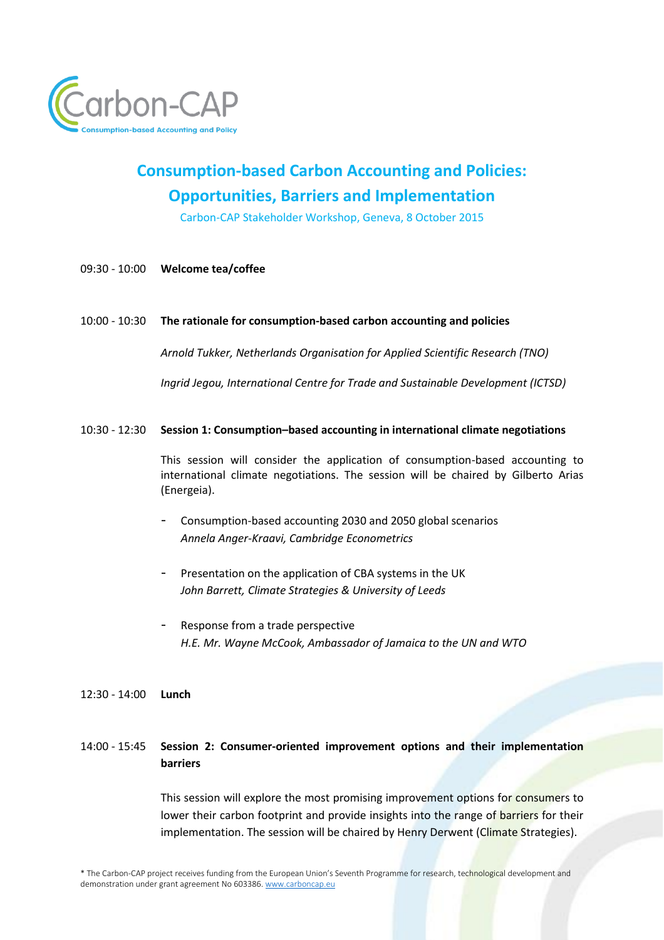

# **Consumption-based Carbon Accounting and Policies: Opportunities, Barriers and Implementation**

Carbon-CAP Stakeholder Workshop, Geneva, 8 October 2015

09:30 - 10:00 **Welcome tea/coffee**

#### 10:00 - 10:30 **The rationale for consumption-based carbon accounting and policies**

*Arnold Tukker, Netherlands Organisation for Applied Scientific Research (TNO)*

*Ingrid Jegou, International Centre for Trade and Sustainable Development (ICTSD)*

## 10:30 - 12:30 **Session 1: Consumption–based accounting in international climate negotiations**

This session will consider the application of consumption-based accounting to international climate negotiations. The session will be chaired by Gilberto Arias (Energeia).

- Consumption-based accounting 2030 and 2050 global scenarios *Annela Anger-Kraavi, Cambridge Econometrics*
- Presentation on the application of CBA systems in the UK *John Barrett, Climate Strategies & University of Leeds*
- Response from a trade perspective *H.E. Mr. Wayne McCook, Ambassador of Jamaica to the UN and WTO*
- 12:30 14:00 **Lunch**

## 14:00 - 15:45 **Session 2: Consumer-oriented improvement options and their implementation barriers**

This session will explore the most promising improvement options for consumers to lower their carbon footprint and provide insights into the range of barriers for their implementation. The session will be chaired by Henry Derwent (Climate Strategies).